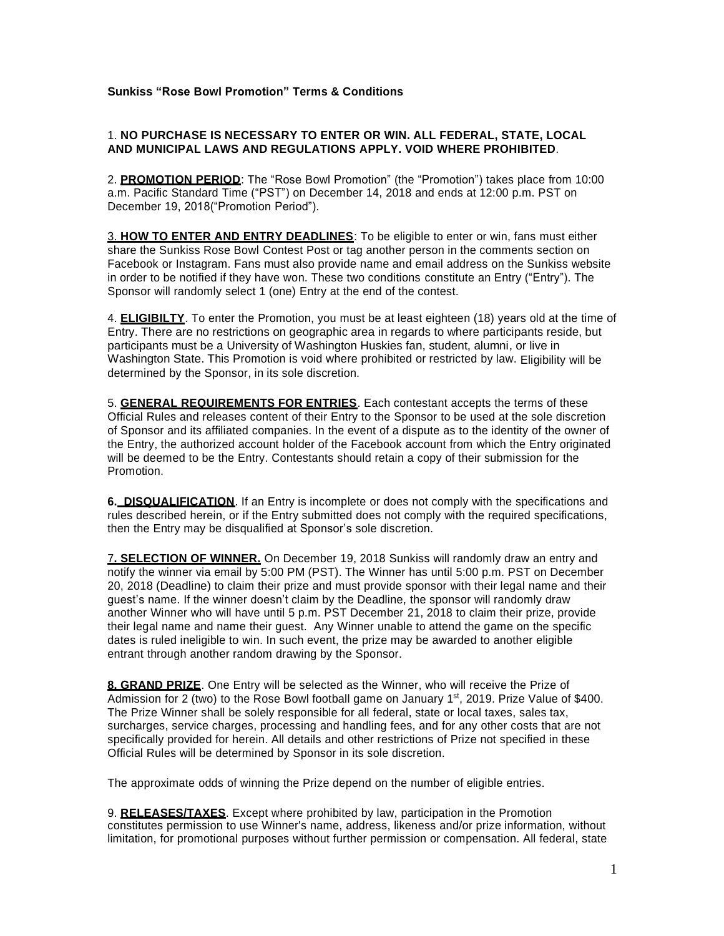## **Sunkiss "Rose Bowl Promotion" Terms & Conditions**

## 1. **NO PURCHASE IS NECESSARY TO ENTER OR WIN. ALL FEDERAL, STATE, LOCAL AND MUNICIPAL LAWS AND REGULATIONS APPLY. VOID WHERE PROHIBITED**.

2. **PROMOTION PERIOD**: The "Rose Bowl Promotion" (the "Promotion") takes place from 10:00 a.m. Pacific Standard Time ("PST") on December 14, 2018 and ends at 12:00 p.m. PST on December 19, 2018("Promotion Period").

3. **HOW TO ENTER AND ENTRY DEADLINES**: To be eligible to enter or win, fans must either share the Sunkiss Rose Bowl Contest Post or tag another person in the comments section on Facebook or Instagram. Fans must also provide name and email address on the Sunkiss website in order to be notified if they have won. These two conditions constitute an Entry ("Entry"). The Sponsor will randomly select 1 (one) Entry at the end of the contest.

4. **ELIGIBILTY**. To enter the Promotion, you must be at least eighteen (18) years old at the time of Entry. There are no restrictions on geographic area in regards to where participants reside, but participants must be a University of Washington Huskies fan, student, alumni, or live in Washington State. This Promotion is void where prohibited or restricted by law. Eligibility will be determined by the Sponsor, in its sole discretion.

5. **GENERAL REQUIREMENTS FOR ENTRIES**. Each contestant accepts the terms of these Official Rules and releases content of their Entry to the Sponsor to be used at the sole discretion of Sponsor and its affiliated companies. In the event of a dispute as to the identity of the owner of the Entry, the authorized account holder of the Facebook account from which the Entry originated will be deemed to be the Entry. Contestants should retain a copy of their submission for the Promotion.

**6. DISQUALIFICATION**. If an Entry is incomplete or does not comply with the specifications and rules described herein, or if the Entry submitted does not comply with the required specifications, then the Entry may be disqualified at Sponsor's sole discretion.

7**. SELECTION OF WINNER.** On December 19, 2018 Sunkiss will randomly draw an entry and notify the winner via email by 5:00 PM (PST). The Winner has until 5:00 p.m. PST on December 20, 2018 (Deadline) to claim their prize and must provide sponsor with their legal name and their guest's name. If the winner doesn't claim by the Deadline, the sponsor will randomly draw another Winner who will have until 5 p.m. PST December 21, 2018 to claim their prize, provide their legal name and name their guest. Any Winner unable to attend the game on the specific dates is ruled ineligible to win. In such event, the prize may be awarded to another eligible entrant through another random drawing by the Sponsor.

**8. GRAND PRIZE**. One Entry will be selected as the Winner, who will receive the Prize of Admission for 2 (two) to the Rose Bowl football game on January  $1<sup>st</sup>$ , 2019. Prize Value of \$400. The Prize Winner shall be solely responsible for all federal, state or local taxes, sales tax, surcharges, service charges, processing and handling fees, and for any other costs that are not specifically provided for herein. All details and other restrictions of Prize not specified in these Official Rules will be determined by Sponsor in its sole discretion.

The approximate odds of winning the Prize depend on the number of eligible entries.

9. **RELEASES/TAXES**. Except where prohibited by law, participation in the Promotion constitutes permission to use Winner's name, address, likeness and/or prize information, without limitation, for promotional purposes without further permission or compensation. All federal, state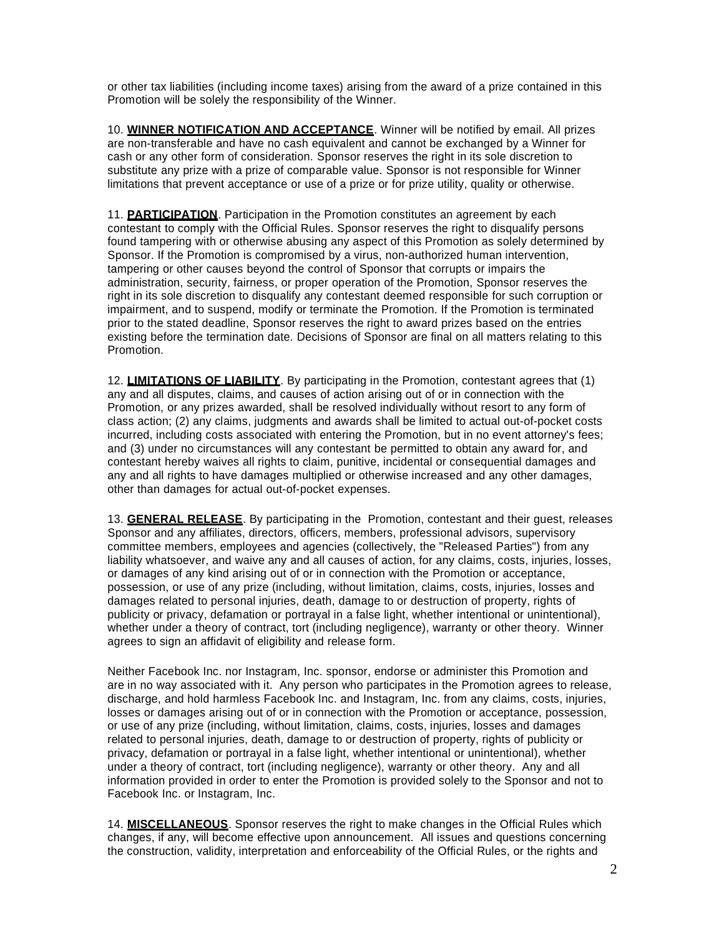or other tax liabilities (including income taxes) arising from the award of a prize contained in this Promotion will be solely the responsibility of the Winner.

10. **WINNER NOTIFICATION AND ACCEPTANCE**. Winner will be notified by email. All prizes are non-transferable and have no cash equivalent and cannot be exchanged by a Winner for cash or any other form of consideration. Sponsor reserves the right in its sole discretion to substitute any prize with a prize of comparable value. Sponsor is not responsible for Winner limitations that prevent acceptance or use of a prize or for prize utility, quality or otherwise.

11. **PARTICIPATION**. Participation in the Promotion constitutes an agreement by each contestant to comply with the Official Rules. Sponsor reserves the right to disqualify persons found tampering with or otherwise abusing any aspect of this Promotion as solely determined by Sponsor. If the Promotion is compromised by a virus, non-authorized human intervention, tampering or other causes beyond the control of Sponsor that corrupts or impairs the administration, security, fairness, or proper operation of the Promotion, Sponsor reserves the right in its sole discretion to disqualify any contestant deemed responsible for such corruption or impairment, and to suspend, modify or terminate the Promotion. If the Promotion is terminated prior to the stated deadline, Sponsor reserves the right to award prizes based on the entries existing before the termination date. Decisions of Sponsor are final on all matters relating to this Promotion.

12. **LIMITATIONS OF LIABILITY**. By participating in the Promotion, contestant agrees that (1) any and all disputes, claims, and causes of action arising out of or in connection with the Promotion, or any prizes awarded, shall be resolved individually without resort to any form of class action; (2) any claims, judgments and awards shall be limited to actual out-of-pocket costs incurred, including costs associated with entering the Promotion, but in no event attorney's fees; and (3) under no circumstances will any contestant be permitted to obtain any award for, and contestant hereby waives all rights to claim, punitive, incidental or consequential damages and any and all rights to have damages multiplied or otherwise increased and any other damages, other than damages for actual out-of-pocket expenses.

13. **GENERAL RELEASE**. By participating in the Promotion, contestant and their guest, releases Sponsor and any affiliates, directors, officers, members, professional advisors, supervisory committee members, employees and agencies (collectively, the "Released Parties") from any liability whatsoever, and waive any and all causes of action, for any claims, costs, injuries, losses, or damages of any kind arising out of or in connection with the Promotion or acceptance, possession, or use of any prize (including, without limitation, claims, costs, injuries, losses and damages related to personal injuries, death, damage to or destruction of property, rights of publicity or privacy, defamation or portrayal in a false light, whether intentional or unintentional), whether under a theory of contract, tort (including negligence), warranty or other theory. Winner agrees to sign an affidavit of eligibility and release form.

Neither Facebook Inc. nor Instagram, Inc. sponsor, endorse or administer this Promotion and are in no way associated with it. Any person who participates in the Promotion agrees to release, discharge, and hold harmless Facebook Inc. and Instagram, Inc. from any claims, costs, injuries, losses or damages arising out of or in connection with the Promotion or acceptance, possession, or use of any prize (including, without limitation, claims, costs, injuries, losses and damages related to personal injuries, death, damage to or destruction of property, rights of publicity or privacy, defamation or portrayal in a false light, whether intentional or unintentional), whether under a theory of contract, tort (including negligence), warranty or other theory. Any and all information provided in order to enter the Promotion is provided solely to the Sponsor and not to Facebook Inc. or Instagram, Inc.

14. **MISCELLANEOUS**. Sponsor reserves the right to make changes in the Official Rules which changes, if any, will become effective upon announcement. All issues and questions concerning the construction, validity, interpretation and enforceability of the Official Rules, or the rights and